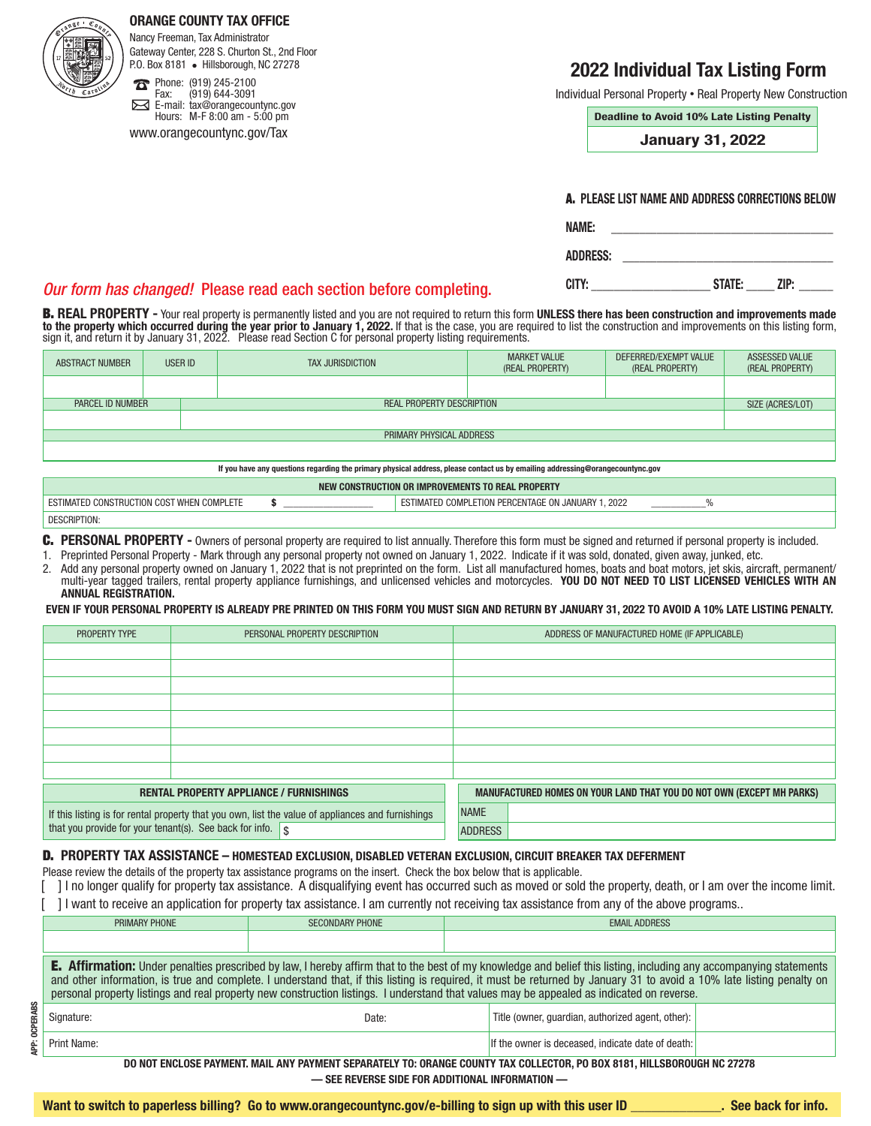#### ORANGE COUNTY TAX OFFICE

Nancy Freeman, Tax Administrator Gateway Center, 228 S. Churton St., 2nd Floor P.O. Box 8181 • Hillsborough, NC 27278

Phone: (919) 245-2100<br>Fax: (919) 644-3091  $\boldsymbol{\pi}$ Fax: (919) 644-3091 ⊠ E-mail: tax@orangecountync.gov Hours: M-F 8:00 am - 5:00 pm

www.orangecountync.gov/Tax

## 2022 Individual Tax Listing Form

Individual Personal Property **•** Real Property New Construction

Deadline to Avoid 10% Late Listing Penalty

January 31, 2022

|  |  | <b>A. Please list name and address corrections below</b> |  |
|--|--|----------------------------------------------------------|--|
|  |  |                                                          |  |

| <b>NAME:</b>    |  |
|-----------------|--|
| <b>ADDRESS:</b> |  |

CITY: \_\_\_\_\_\_\_\_\_\_\_\_\_\_\_\_\_\_\_\_\_ STATE: \_\_\_\_\_ ZIP: \_\_\_\_\_\_

#### *Our form has changed!* Please read each section before completing.

B. REAL PROPERTY - Your real property is permanently listed and you are not required to return this form UNLESS there has been construction and improvements made **to the property which occurred during the year prior to January 1, 2022.** If that is the case, you are required to list the construction and improvements on this listing form,<br>sign it, and return it by January 31, 2022. P

|                  | <b>ABSTRACT NUMBER</b>   | <b>USER ID</b> | TAX JURISDICTION                 | <b>MARKET VALUE</b><br>(REAL PROPERTY) | DEFERRED/EXEMPT VALUE<br>(REAL PROPERTY) | ASSESSED VALUE<br>(REAL PROPERTY) |
|------------------|--------------------------|----------------|----------------------------------|----------------------------------------|------------------------------------------|-----------------------------------|
|                  |                          |                |                                  |                                        |                                          |                                   |
| PARCEL ID NUMBER |                          |                | <b>REAL PROPERTY DESCRIPTION</b> |                                        |                                          |                                   |
|                  |                          |                |                                  |                                        |                                          |                                   |
|                  | PRIMARY PHYSICAL ADDRESS |                |                                  |                                        |                                          |                                   |
|                  |                          |                |                                  |                                        |                                          |                                   |

If you have any questions regarding the primary physical address, please contact us by emailing addressing@orangecountync.gov

| I CONSTRUCTION OR IMPROVEMENTS TO REAL PROPERTY |  |                                                                   |  |  |
|-------------------------------------------------|--|-------------------------------------------------------------------|--|--|
| 14011<br>COMPLETE<br>-COS<br><b>VVI</b>         |  | PFRCI<br>$\sim$<br>2022<br>COMPI<br>FNTAGI<br>JANUARY.<br>AAI FI) |  |  |
| <b>DESCRIPTION:</b>                             |  |                                                                   |  |  |

C. PERSONAL PROPERTY - Owners of personal property are required to list annually. Therefore this form must be signed and returned if personal property is included.

- 1. Preprinted Personal Property Mark through any personal property not owned on January 1, 2022. Indicate if it was sold, donated, given away, junked, etc.
- 2. Add any personal property owned on January 1, 2022 that is not preprinted on the form. List all manufactured homes, boats and boat motors, jet skis, aircraft, permanent/ multi-year tagged trailers, rental property appliance furnishings, and unlicensed vehicles and motorcycles. YOU DO NOT NEED TO LIST LICENSED VEHICLES WITH AN ANNUAL REGISTRATION.

EVEN IF YOUR PERSONAL PROPERTY IS ALREADY PRE PRINTED ON THIS FORM YOU MUST SIGN AND RETURN BY JANUARY 31, 2022 TO AVOID A 10% LATE LISTING PENALTY.

| PROPERTY TYPE                                                                                     |  | PERSONAL PROPERTY DESCRIPTION |                | ADDRESS OF MANUFACTURED HOME (IF APPLICABLE)                                 |
|---------------------------------------------------------------------------------------------------|--|-------------------------------|----------------|------------------------------------------------------------------------------|
|                                                                                                   |  |                               |                |                                                                              |
|                                                                                                   |  |                               |                |                                                                              |
|                                                                                                   |  |                               |                |                                                                              |
|                                                                                                   |  |                               |                |                                                                              |
|                                                                                                   |  |                               |                |                                                                              |
|                                                                                                   |  |                               |                |                                                                              |
|                                                                                                   |  |                               |                |                                                                              |
|                                                                                                   |  |                               |                |                                                                              |
| <b>RENTAL PROPERTY APPLIANCE / FURNISHINGS</b>                                                    |  |                               |                | <b>MANUFACTURED HOMES ON YOUR LAND THAT YOU DO NOT OWN (EXCEPT MH PARKS)</b> |
| If this listing is for rental property that you own, list the value of appliances and furnishings |  |                               | <b>NAME</b>    |                                                                              |
| that you provide for your tenant(s). See back for info. $\sqrt{\$}$                               |  |                               | <b>ADDRESS</b> |                                                                              |

#### D. PROPERTY TAX ASSISTANCE – HOMESTEAD EXCLUSION, DISABLED VETERAN EXCLUSION, CIRCUIT BREAKER TAX DEFERMENT

Please review the details of the property tax assistance programs on the insert. Check the box below that is applicable.

[ ] I no longer qualify for property tax assistance. A disqualifying event has occurred such as moved or sold the property, death, or I am over the income limit. [ ] I want to receive an application for property tax assistance. I am currently not receiving tax assistance from any of the above programs..

| PRIMARY PHONE                                                                                                                                                                                                                                                                                                                                                                                                                                                                                   | <b>SECONDARY PHONE</b> | <b>EMAIL ADDRESS</b>                              |  |  |
|-------------------------------------------------------------------------------------------------------------------------------------------------------------------------------------------------------------------------------------------------------------------------------------------------------------------------------------------------------------------------------------------------------------------------------------------------------------------------------------------------|------------------------|---------------------------------------------------|--|--|
|                                                                                                                                                                                                                                                                                                                                                                                                                                                                                                 |                        |                                                   |  |  |
| <b>E.</b> Affirmation: Under penalties prescribed by law, I hereby affirm that to the best of my knowledge and belief this listing, including any accompanying statements<br>and other information, is true and complete. I understand that, if this listing is required, it must be returned by January 31 to avoid a 10% late listing penalty on<br>personal property listings and real property new construction listings. I understand that values may be appealed as indicated on reverse. |                        |                                                   |  |  |
| Signature:                                                                                                                                                                                                                                                                                                                                                                                                                                                                                      | Date:                  | Title (owner, quardian, authorized agent, other): |  |  |
| Print Name:                                                                                                                                                                                                                                                                                                                                                                                                                                                                                     |                        | If the owner is deceased, indicate date of death: |  |  |
| DO NOT ENCLOSE PAYMENT. MAIL ANY PAYMENT SEPARATELY TO: ORANGE COUNTY TAX COLLECTOR. PO BOX 8181. HILLSBOROUGH NC 27278                                                                                                                                                                                                                                                                                                                                                                         |                        |                                                   |  |  |
| $\equiv$ CFF REVERCE CIDE FOR ADDITIONAL INFORMATION $\equiv$                                                                                                                                                                                                                                                                                                                                                                                                                                   |                        |                                                   |  |  |

. KEVEKSE SIDE FOR ADDITIONAL INFORMATION